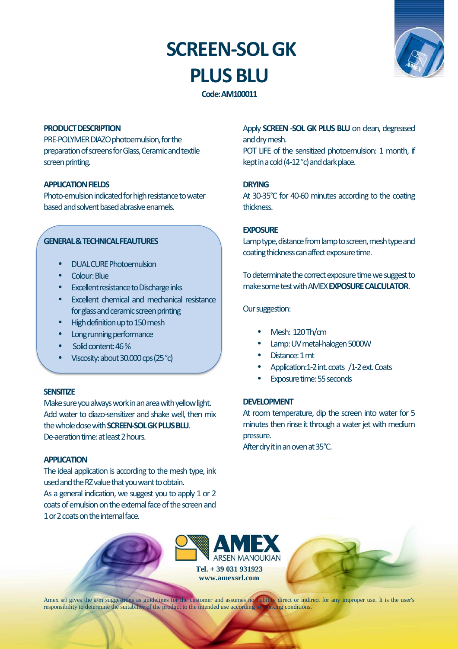# **SCREEN-SOL GK PLUS BLU**



**Code: AM100011** 

### **PRODUCT DESCRIPTION**

PRE-POLYMER DIAZO photoemulsion, for the preparation of screens for Glass, Ceramic and textile screen printing.

## **APPLICATION FIELDS**

Photo-emulsion indicated for high resistance to water based and solvent based abrasive enamels.

## **GENERAL & TECHNICAL FEAUTURES**

- DUAL CURE Photoemulsion
- Colour: Blue
- **Excellent resistance to Discharge inks**
- Excellent chemical and mechanical resistance for glass and ceramic screen printing
- High definition up to 150 mesh
- Long running performance
- Solid content: 46 %
- Viscosity: about 30.000 cps (25 °c)

#### **SENSITIZE**

Make sure you always work in an area with yellow light. Add water to diazo-sensitizer and shake well, then mix the whole dose with **SCREEN-SOL GK PLUS BLU**. De-aeration time: at least 2 hours.

## **APPLICATION**

The ideal application is according to the mesh type, ink used and the RZ value that you want to obtain. As a general indication, we suggest you to apply 1 or 2 coats of emulsion on the external face of the screen and 1 or 2 coats on the internal face.

Apply **SCREEN -SOL GK PLUS BLU** on clean, degreased and dry mesh.

POT LIFE of the sensitized photoemulsion: 1 month, if kept in a cold (4-12 °c) and dark place.

### **DRYING**

At 30-35°C for 40-60 minutes according to the coating thickness.

#### **EXPOSURE**

Lamp type, distance from lamp to screen, mesh type and coating thickness can affect exposure time.

To determinate the correct exposure time we suggest to make some test with AMEX **EXPOSURE CALCULATOR**.

#### Our suggestion:

- Mesh: 120 Th/cm
- Lamp: UV metal-halogen 5000W
- Distance: 1 mt
- Application:1-2 int. coats /1-2 ext. Coats
- Exposure time: 55 seconds

# **DEVELOPMENT**

At room temperature, dip the screen into water for 5 minutes then rinse it through a water jet with medium pressure.

After dry it in an oven at 35°C.



Amex srl gives the a/m suggestions as guidelines for the customer and assumes no liability direct or indirect for any improper use. It is the user's responsibility to determine the suitability of the product to the intended use according to working conditions.